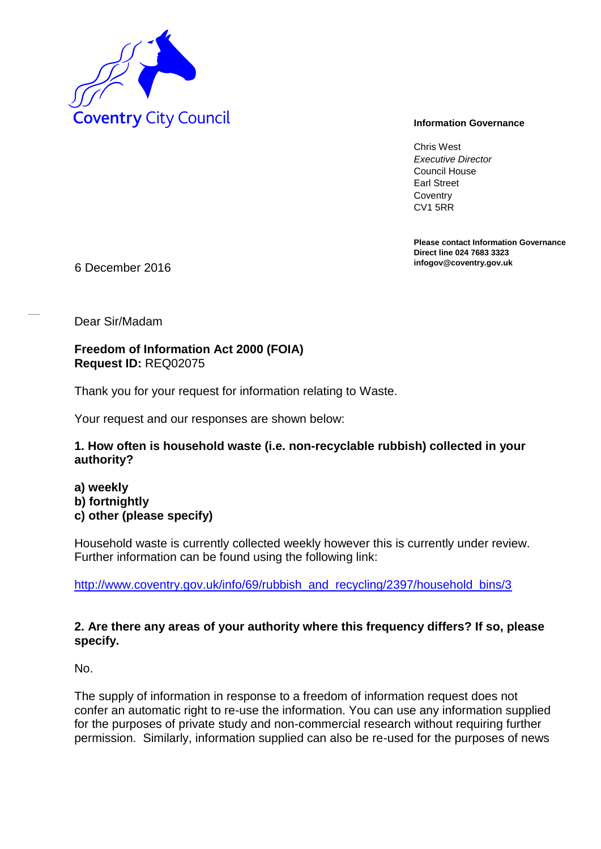

Chris West *Executive Director* Council House Earl Street **Coventry** CV1 5RR

**Please contact Information Governance Direct line 024 7683 3323**

**infogov@coventry.gov.uk** 6 December 2016

Dear Sir/Madam

**Freedom of Information Act 2000 (FOIA) Request ID:** REQ02075

Thank you for your request for information relating to Waste.

Your request and our responses are shown below:

## **1. How often is household waste (i.e. non-recyclable rubbish) collected in your authority?**

**a) weekly b) fortnightly c) other (please specify)**

Household waste is currently collected weekly however this is currently under review. Further information can be found using the following link:

http://www.coventry.gov.uk/info/69/rubbish\_and\_recycling/2397/household\_bins/3

## **2. Are there any areas of your authority where this frequency differs? If so, please specify.**

No.

The supply of information in response to a freedom of information request does not confer an automatic right to re-use the information. You can use any information supplied for the purposes of private study and non-commercial research without requiring further permission. Similarly, information supplied can also be re-used for the purposes of news